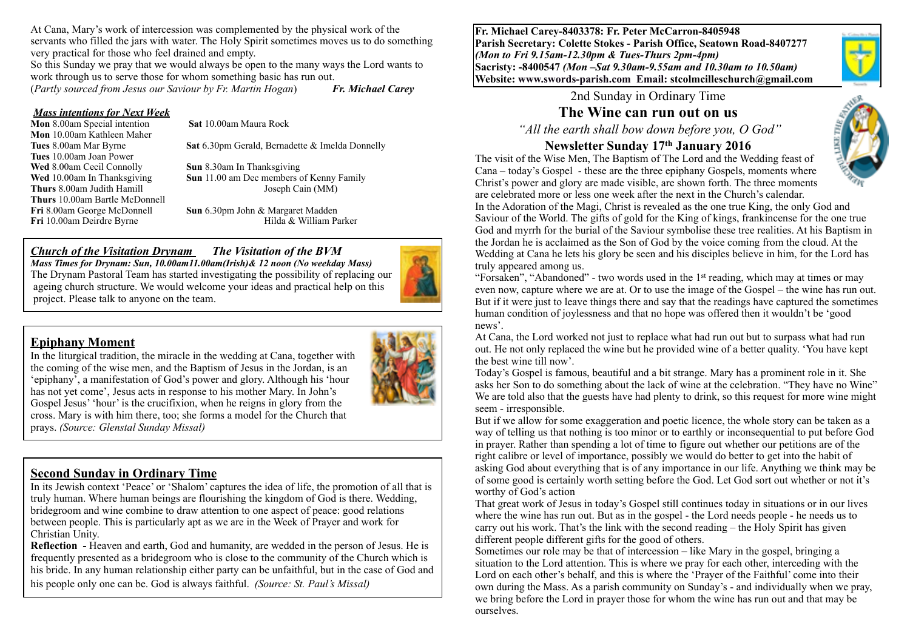At Cana, Mary's work of intercession was complemented by the physical work of the servants who filled the jars with water. The Holy Spirit sometimes moves us to do something very practical for those who feel drained and empty.

So this Sunday we pray that we would always be open to the many ways the Lord wants to work through us to serve those for whom something basic has run out.

(*Partly sourced from Jesus our Saviour by Fr. Martin Hogan*) *Fr. Michael Carey*

#### *Mass intentions for Next Week*

**Mon** 8.00am Special intention **Sat** 10.00am Maura Rock **Mon** 10.00am Kathleen Maher **Tues** 10.00am Joan Power **Wed** 8.00am Cecil Connolly **Sun** 8.30am In Thanksgiving **Thurs** 10.00am Bartle McDonnell Fri 10.00am Deirdre Byrne

**Tues** 8.00am Mar Byrne **Sat** 6.30pm Gerald, Bernadette & Imelda Donnelly

**Wed** 10.00am In Thanksgiving **Sun** 11.00 am Dec members of Kenny Family **Thurs** 8.00am Judith Hamill Joseph Cain (MM)

**Fri** 8.00am George McDonnell **Sun** 6.30pm John & Margaret Madden

#### *Church of the Visitation Drynam**The Visitation of the BVM*

*Mass Times for Drynam: Sun, 10.00am11.00am(Irish)& 12 noon (No weekday Mass)*  The Drynam Pastoral Team has started investigating the possibility of replacing our ageing church structure. We would welcome your ideas and practical help on this project. Please talk to anyone on the team.

#### **Epiphany Moment**

In the liturgical tradition, the miracle in the wedding at Cana, together with the coming of the wise men, and the Baptism of Jesus in the Jordan, is an 'epiphany', a manifestation of God's power and glory. Although his 'hour has not yet come'. Jesus acts in response to his mother Mary. In John's Gospel Jesus' 'hour' is the crucifixion, when he reigns in glory from the cross. Mary is with him there, too; she forms a model for the Church that prays. *(Source: Glenstal Sunday Missal)*



# **Second Sunday in Ordinary Time**

In its Jewish context 'Peace' or 'Shalom' captures the idea of life, the promotion of all that is truly human. Where human beings are flourishing the kingdom of God is there. Wedding, bridegroom and wine combine to draw attention to one aspect of peace: good relations between people. This is particularly apt as we are in the Week of Prayer and work for Christian Unity.

**Reflection -** Heaven and earth, God and humanity, are wedded in the person of Jesus. He is frequently presented as a bridegroom who is close to the community of the Church which is his bride. In any human relationship either party can be unfaithful, but in the case of God and his people only one can be. God is always faithful. *(Source: St. Paul's Missal)*

**Fr. Michael Carey-8403378: Fr. Peter McCarron-8405948 Parish Secretary: Colette Stokes - Parish Office, Seatown Road-8407277**  *(Mon to Fri 9.15am-12.30pm & Tues-Thurs 2pm-4pm)*  **Sacristy: -8400547** *(Mon –Sat 9.30am-9.55am and 10.30am to 10.50am)* **Website: [www.swords-parish.com Email](http://www.swords-parish.com%20%20email): stcolmcilleschurch@gmail.com**

2nd Sunday in Ordinary Time

# **The Wine can run out on us**

 *"All the earth shall bow down before you, O God"* 

### **Newsletter Sunday 17th January 2016**



The visit of the Wise Men, The Baptism of The Lord and the Wedding feast of Cana – today's Gospel - these are the three epiphany Gospels, moments where Christ's power and glory are made visible, are shown forth. The three moments are celebrated more or less one week after the next in the Church's calendar.

In the Adoration of the Magi, Christ is revealed as the one true King, the only God and Saviour of the World. The gifts of gold for the King of kings, frankincense for the one true God and myrrh for the burial of the Saviour symbolise these tree realities. At his Baptism in the Jordan he is acclaimed as the Son of God by the voice coming from the cloud. At the Wedding at Cana he lets his glory be seen and his disciples believe in him, for the Lord has truly appeared among us.

"Forsaken", "Abandoned" - two words used in the  $1<sup>st</sup>$  reading, which may at times or may even now, capture where we are at. Or to use the image of the Gospel – the wine has run out. But if it were just to leave things there and say that the readings have captured the sometimes human condition of joylessness and that no hope was offered then it wouldn't be 'good news'.

At Cana, the Lord worked not just to replace what had run out but to surpass what had run out. He not only replaced the wine but he provided wine of a better quality. 'You have kept the best wine till now'.

Today's Gospel is famous, beautiful and a bit strange. Mary has a prominent role in it. She asks her Son to do something about the lack of wine at the celebration. "They have no Wine" We are told also that the guests have had plenty to drink, so this request for more wine might seem - irresponsible.

But if we allow for some exaggeration and poetic licence, the whole story can be taken as a way of telling us that nothing is too minor or to earthly or inconsequential to put before God in prayer. Rather than spending a lot of time to figure out whether our petitions are of the right calibre or level of importance, possibly we would do better to get into the habit of asking God about everything that is of any importance in our life. Anything we think may be of some good is certainly worth setting before the God. Let God sort out whether or not it's worthy of God's action

That great work of Jesus in today's Gospel still continues today in situations or in our lives where the wine has run out. But as in the gospel - the Lord needs people - he needs us to carry out his work. That's the link with the second reading – the Holy Spirit has given different people different gifts for the good of others.

Sometimes our role may be that of intercession – like Mary in the gospel, bringing a situation to the Lord attention. This is where we pray for each other, interceding with the Lord on each other's behalf, and this is where the 'Prayer of the Faithful' come into their own during the Mass. As a parish community on Sunday's - and individually when we pray, we bring before the Lord in prayer those for whom the wine has run out and that may be ourselves.